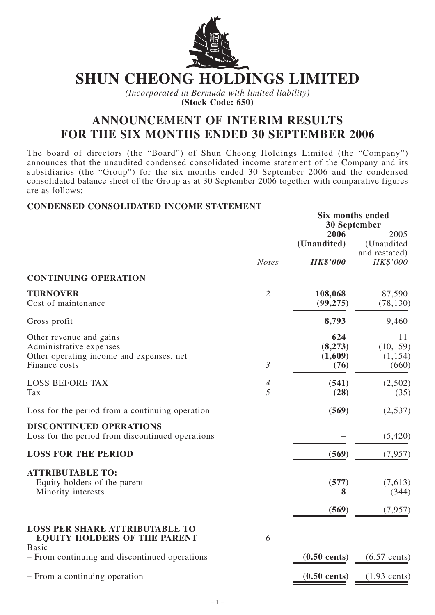

# **SHUN CHEONG HOLDINGS LIMITED**

*(Incorporated in Bermuda with limited liability)* **(Stock Code: 650)**

## **ANNOUNCEMENT OF INTERIM RESULTS FOR THE SIX MONTHS ENDED 30 SEPTEMBER 2006**

The board of directors (the "Board") of Shun Cheong Holdings Limited (the "Company") announces that the unaudited condensed consolidated income statement of the Company and its subsidiaries (the "Group") for the six months ended 30 September 2006 and the condensed consolidated balance sheet of the Group as at 30 September 2006 together with comparative figures are as follows:

#### **CONDENSED CONSOLIDATED INCOME STATEMENT**

|                                                                                                                 |                     |                                        | Six months ended<br>30 September                |  |  |  |
|-----------------------------------------------------------------------------------------------------------------|---------------------|----------------------------------------|-------------------------------------------------|--|--|--|
|                                                                                                                 | <b>Notes</b>        | 2006<br>(Unaudited)<br><b>HK\$'000</b> | 2005<br>(Unaudited<br>and restated)<br>HK\$'000 |  |  |  |
| <b>CONTINUING OPERATION</b>                                                                                     |                     |                                        |                                                 |  |  |  |
| <b>TURNOVER</b><br>Cost of maintenance                                                                          | $\overline{2}$      | 108,068<br>(99, 275)                   | 87,590<br>(78, 130)                             |  |  |  |
| Gross profit                                                                                                    |                     | 8,793                                  | 9,460                                           |  |  |  |
| Other revenue and gains<br>Administrative expenses<br>Other operating income and expenses, net<br>Finance costs | $\mathfrak{Z}$      | 624<br>(8,273)<br>(1,609)<br>(76)      | 11<br>(10, 159)<br>(1,154)<br>(660)             |  |  |  |
| <b>LOSS BEFORE TAX</b><br><b>Tax</b>                                                                            | $\overline{A}$<br>5 | (541)<br>(28)                          | (2,502)<br>(35)                                 |  |  |  |
| Loss for the period from a continuing operation                                                                 |                     | (569)                                  | (2,537)                                         |  |  |  |
| <b>DISCONTINUED OPERATIONS</b><br>Loss for the period from discontinued operations                              |                     |                                        | (5,420)                                         |  |  |  |
| <b>LOSS FOR THE PERIOD</b>                                                                                      |                     | (569)                                  | (7, 957)                                        |  |  |  |
| <b>ATTRIBUTABLE TO:</b><br>Equity holders of the parent<br>Minority interests                                   |                     | (577)<br>8<br>(569)                    | (7,613)<br>(344)<br>(7, 957)                    |  |  |  |
| <b>LOSS PER SHARE ATTRIBUTABLE TO</b><br><b>EQUITY HOLDERS OF THE PARENT</b>                                    | 6                   |                                        |                                                 |  |  |  |
| <b>Basic</b><br>- From continuing and discontinued operations                                                   |                     | $(0.50 \text{ cents})$                 | $(6.57$ cents)                                  |  |  |  |
| - From a continuing operation                                                                                   |                     | $(0.50 \text{ cents})$                 | $(1.93$ cents)                                  |  |  |  |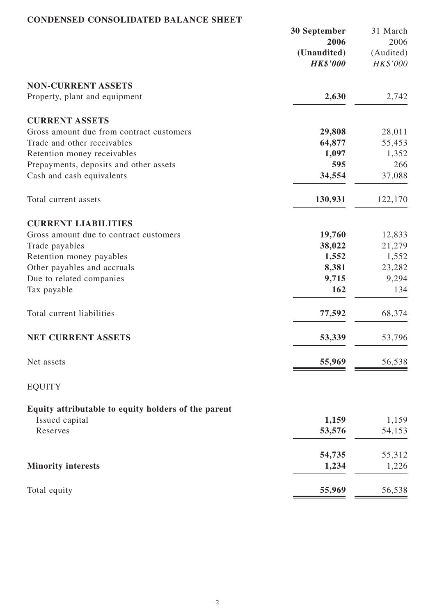## **CONDENSED CONSOLIDATED BALANCE SHEET**

|                                                                       | 30 September                   | 31 March              |
|-----------------------------------------------------------------------|--------------------------------|-----------------------|
|                                                                       | 2006                           | 2006                  |
|                                                                       | (Unaudited)<br><b>HK\$'000</b> | (Audited)<br>HK\$'000 |
|                                                                       |                                |                       |
| <b>NON-CURRENT ASSETS</b>                                             |                                |                       |
| Property, plant and equipment                                         | 2,630                          | 2,742                 |
| <b>CURRENT ASSETS</b>                                                 |                                |                       |
| Gross amount due from contract customers                              | 29,808                         | 28,011                |
| Trade and other receivables                                           | 64,877                         | 55,453                |
| Retention money receivables                                           | 1,097                          | 1,352                 |
| Prepayments, deposits and other assets                                | 595                            | 266                   |
| Cash and cash equivalents                                             | 34,554                         | 37,088                |
| Total current assets                                                  | 130,931                        | 122,170               |
| <b>CURRENT LIABILITIES</b>                                            |                                |                       |
| Gross amount due to contract customers                                | 19,760                         | 12,833                |
| Trade payables                                                        | 38,022                         | 21,279                |
| Retention money payables                                              | 1,552                          | 1,552                 |
| Other payables and accruals                                           | 8,381                          | 23,282                |
| Due to related companies                                              | 9,715                          | 9,294                 |
| Tax payable                                                           | 162                            | 134                   |
|                                                                       |                                |                       |
| Total current liabilities                                             | 77,592                         | 68,374                |
| <b>NET CURRENT ASSETS</b>                                             | 53,339                         | 53,796                |
| Net assets                                                            | 55,969                         | 56,538                |
| <b>EQUITY</b>                                                         |                                |                       |
|                                                                       |                                |                       |
| Equity attributable to equity holders of the parent<br>Issued capital | 1,159                          | 1,159                 |
| Reserves                                                              | 53,576                         | 54,153                |
|                                                                       |                                |                       |
|                                                                       | 54,735                         | 55,312                |
| <b>Minority interests</b>                                             | 1,234                          | 1,226                 |
| Total equity                                                          | 55,969                         | 56,538                |
|                                                                       |                                |                       |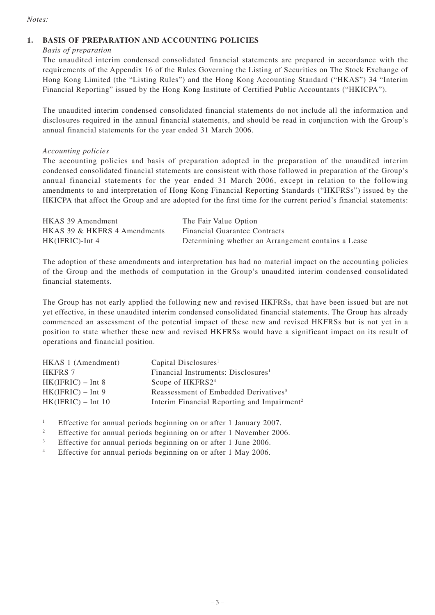#### *Notes:*

#### **1. BASIS OF PREPARATION AND ACCOUNTING POLICIES**

*Basis of preparation*

The unaudited interim condensed consolidated financial statements are prepared in accordance with the requirements of the Appendix 16 of the Rules Governing the Listing of Securities on The Stock Exchange of Hong Kong Limited (the "Listing Rules") and the Hong Kong Accounting Standard ("HKAS") 34 "Interim Financial Reporting" issued by the Hong Kong Institute of Certified Public Accountants ("HKICPA").

The unaudited interim condensed consolidated financial statements do not include all the information and disclosures required in the annual financial statements, and should be read in conjunction with the Group's annual financial statements for the year ended 31 March 2006.

#### *Accounting policies*

The accounting policies and basis of preparation adopted in the preparation of the unaudited interim condensed consolidated financial statements are consistent with those followed in preparation of the Group's annual financial statements for the year ended 31 March 2006, except in relation to the following amendments to and interpretation of Hong Kong Financial Reporting Standards ("HKFRSs") issued by the HKICPA that affect the Group and are adopted for the first time for the current period's financial statements:

| HKAS 39 Amendment            | The Fair Value Option                               |
|------------------------------|-----------------------------------------------------|
| HKAS 39 & HKFRS 4 Amendments | <b>Financial Guarantee Contracts</b>                |
| $HK(IFRIC)$ -Int 4           | Determining whether an Arrangement contains a Lease |

The adoption of these amendments and interpretation has had no material impact on the accounting policies of the Group and the methods of computation in the Group's unaudited interim condensed consolidated financial statements.

The Group has not early applied the following new and revised HKFRSs, that have been issued but are not yet effective, in these unaudited interim condensed consolidated financial statements. The Group has already commenced an assessment of the potential impact of these new and revised HKFRSs but is not yet in a position to state whether these new and revised HKFRSs would have a significant impact on its result of operations and financial position.

| HKAS 1 (Amendment)   | Capital Disclosures <sup>1</sup>                        |
|----------------------|---------------------------------------------------------|
| <b>HKFRS 7</b>       | Financial Instruments: Disclosures <sup>1</sup>         |
| $HK(IFRIC) - Int 8$  | Scope of HKFRS2 <sup>4</sup>                            |
| $HK(IFRIC) - Int 9$  | Reassessment of Embedded Derivatives <sup>3</sup>       |
| $HK(IFRIC) - Int 10$ | Interim Financial Reporting and Impairment <sup>2</sup> |
|                      |                                                         |

<sup>1</sup> Effective for annual periods beginning on or after 1 January 2007.

- <sup>2</sup> Effective for annual periods beginning on or after 1 November 2006.
- <sup>3</sup> Effective for annual periods beginning on or after 1 June 2006.
- <sup>4</sup> Effective for annual periods beginning on or after 1 May 2006.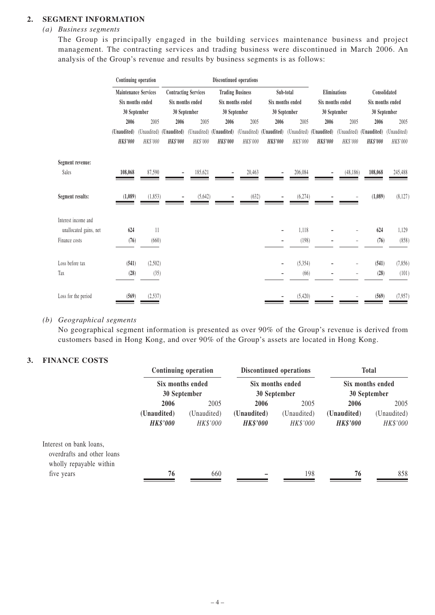#### **2. SEGMENT INFORMATION**

#### *(a) Business segments*

The Group is principally engaged in the building services maintenance business and project management. The contracting services and trading business were discontinued in March 2006. An analysis of the Group's revenue and results by business segments is as follows:

|                        |                 | Continuing operation<br>Discontinued operations |                         |                             |                         |                         |                         |                  |                 |                  |                 |                  |  |
|------------------------|-----------------|-------------------------------------------------|-------------------------|-----------------------------|-------------------------|-------------------------|-------------------------|------------------|-----------------|------------------|-----------------|------------------|--|
|                        |                 | <b>Maintenance Services</b>                     |                         | <b>Contracting Services</b> |                         | <b>Trading Business</b> | Sub-total               |                  | Eliminations    |                  | Consolidated    |                  |  |
|                        |                 | Six months ended                                |                         | Six months ended            |                         | Six months ended        |                         | Six months ended |                 | Six months ended |                 | Six months ended |  |
|                        |                 | 30 September                                    |                         | 30 September                | 30 September            |                         | 30 September            |                  | 30 September    |                  | 30 September    |                  |  |
|                        | 2006            | 2005                                            | 2006                    | 2005                        | 2006                    | 2005                    | 2006                    | 2005             | 2006            | 2005             | 2006            | 2005             |  |
|                        | (Unaudited)     |                                                 | (Unaudited) (Unaudited) |                             | (Unaudited) (Unaudited) |                         | (Unaudited) (Unaudited) | (Unaudited)      | (Unaudited)     | (Unaudited)      | (Unaudited)     | (Unaudited)      |  |
|                        | <b>HK\$'000</b> | HK\$'000                                        | <b>HK\$'000</b>         | HK\$'000                    | <b>HK\$'000</b>         | HK\$'000                | <b>HK\$'000</b>         | HK\$'000         | <b>HK\$'000</b> | HK\$'000         | <b>HK\$'000</b> | HK\$'000         |  |
| Segment revenue:       |                 |                                                 |                         |                             |                         |                         |                         |                  |                 |                  |                 |                  |  |
| Sales                  | 108,068         | 87,590                                          |                         | 185,621                     |                         | 20,463                  |                         | 206,084          |                 | (48, 186)        | 108,068         | 245,488          |  |
| Segment results:       | (1,089)         | (1, 853)                                        |                         | (5,642)                     |                         | (632)                   |                         | (6,274)          |                 |                  | (1,089)         | (8, 127)         |  |
| Interest income and    |                 |                                                 |                         |                             |                         |                         |                         |                  |                 |                  |                 |                  |  |
| unallocated gains, net | 624             | 11                                              |                         |                             |                         |                         |                         | 1,118            |                 |                  | 624             | 1,129            |  |
| Finance costs          | (76)            | (660)                                           |                         |                             |                         |                         |                         | (198)            |                 |                  | (76)            | (858)            |  |
| Loss before tax        | (541)           | (2,502)                                         |                         |                             |                         |                         |                         | (5, 354)         |                 |                  | (541)           | (7, 856)         |  |
| Tax                    | (28)            | (35)                                            |                         |                             |                         |                         |                         | (66)             |                 |                  | (28)            | (101)            |  |
| Loss for the period    | (569)           | (2,537)                                         |                         |                             |                         |                         |                         | (5,420)          |                 |                  | (569)           | (7, 957)         |  |
|                        |                 |                                                 |                         |                             |                         |                         |                         |                  |                 |                  |                 |                  |  |

#### *(b) Geographical segments*

No geographical segment information is presented as over 90% of the Group's revenue is derived from customers based in Hong Kong, and over 90% of the Group's assets are located in Hong Kong.

#### **3. FINANCE COSTS**

|                                                                                  |                                | <b>Continuing operation</b> |                                | Discontinued operations | <b>Total</b><br>Six months ended<br>30 September |                         |  |
|----------------------------------------------------------------------------------|--------------------------------|-----------------------------|--------------------------------|-------------------------|--------------------------------------------------|-------------------------|--|
|                                                                                  |                                | Six months ended            |                                | Six months ended        |                                                  |                         |  |
|                                                                                  |                                | 30 September                |                                | 30 September            |                                                  |                         |  |
|                                                                                  | 2006                           | 2005                        | 2006                           | 2005                    | 2006                                             | 2005                    |  |
|                                                                                  | (Unaudited)<br><b>HK\$'000</b> | (Unaudited)<br>HK\$'000     | (Unaudited)<br><b>HK\$'000</b> | (Unaudited)<br>HK\$'000 | (Unaudited)<br><b>HK\$'000</b>                   | (Unaudited)<br>HK\$'000 |  |
| Interest on bank loans,<br>overdrafts and other loans<br>wholly repayable within |                                |                             |                                |                         |                                                  |                         |  |
| five years                                                                       | 76                             | 660                         |                                | 198                     | 76                                               | 858                     |  |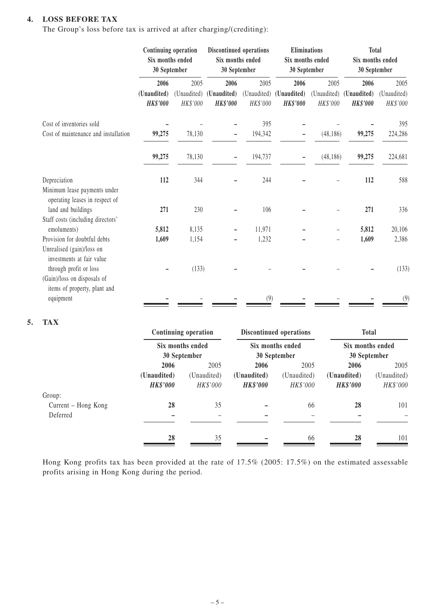#### **4. LOSS BEFORE TAX**

The Group's loss before tax is arrived at after charging/(crediting):

|                                                                                        | Continuing operation<br>Six months ended<br>30 September |                                 | Discontinued operations<br>Six months ended<br>30 September |                                 | <b>Eliminations</b><br>Six months ended<br>30 September |                                 | <b>Total</b><br>Six months ended<br>30 September |                                 |
|----------------------------------------------------------------------------------------|----------------------------------------------------------|---------------------------------|-------------------------------------------------------------|---------------------------------|---------------------------------------------------------|---------------------------------|--------------------------------------------------|---------------------------------|
|                                                                                        | 2006<br>(Unaudited)<br><b>HK\$'000</b>                   | 2005<br>(Unaudited)<br>HK\$'000 | 2006<br>(Unaudited)<br><b>HK\$'000</b>                      | 2005<br>(Unaudited)<br>HK\$'000 | 2006<br>(Unaudited)<br><b>HK\$'000</b>                  | 2005<br>(Unaudited)<br>HK\$'000 | 2006<br>(Unaudited)<br><b>HK\$'000</b>           | 2005<br>(Unaudited)<br>HK\$'000 |
| Cost of inventories sold<br>Cost of maintenance and installation                       | 99,275                                                   | 78,130                          |                                                             | 395<br>194,342                  |                                                         | (48, 186)                       | 99,275                                           | 395<br>224,286                  |
|                                                                                        | 99,275                                                   | 78,130                          |                                                             | 194,737                         |                                                         | (48, 186)                       | 99,275                                           | 224,681                         |
| Depreciation<br>Minimum lease payments under<br>operating leases in respect of         | 112                                                      | 344                             |                                                             | 244                             |                                                         |                                 | 112                                              | 588                             |
| land and buildings<br>Staff costs (including directors'                                | 271                                                      | 230                             |                                                             | 106                             |                                                         |                                 | 271                                              | 336                             |
| emoluments)                                                                            | 5,812                                                    | 8,135                           |                                                             | 11,971                          |                                                         |                                 | 5,812                                            | 20,106                          |
| Provision for doubtful debts<br>Unrealised (gain)/loss on<br>investments at fair value | 1,609                                                    | 1,154                           |                                                             | 1,232                           |                                                         |                                 | 1,609                                            | 2,386                           |
| through profit or loss<br>(Gain)/loss on disposals of<br>items of property, plant and  |                                                          | (133)                           |                                                             |                                 |                                                         |                                 |                                                  | (133)                           |
| equipment                                                                              |                                                          |                                 |                                                             | (9)                             |                                                         |                                 |                                                  | (9)                             |

#### **5. TAX**

|                     |                 | <b>Continuing operation</b> |                 | Discontinued operations | <b>Total</b><br>Six months ended<br>30 September |             |  |
|---------------------|-----------------|-----------------------------|-----------------|-------------------------|--------------------------------------------------|-------------|--|
|                     |                 | Six months ended            |                 | Six months ended        |                                                  |             |  |
|                     |                 | 30 September                |                 | 30 September            |                                                  |             |  |
|                     | 2006            | 2005                        | 2006            | 2005                    | 2006                                             | 2005        |  |
|                     | (Unaudited)     | (Unaudited)                 | (Unaudited)     | (Unaudited)             | (Unaudited)                                      | (Unaudited) |  |
|                     | <b>HK\$'000</b> | HK\$'000                    | <b>HK\$'000</b> | HK\$'000                | <b>HK\$'000</b>                                  | HK\$'000    |  |
| Group:              |                 |                             |                 |                         |                                                  |             |  |
| Current – Hong Kong | 28              | 35                          |                 | 66                      | 28                                               | 101         |  |
| Deferred            |                 |                             |                 |                         |                                                  |             |  |
|                     |                 |                             |                 |                         |                                                  |             |  |
|                     | 28              | 35                          |                 | 66                      | 28                                               | 101         |  |

Hong Kong profits tax has been provided at the rate of 17.5% (2005: 17.5%) on the estimated assessable profits arising in Hong Kong during the period.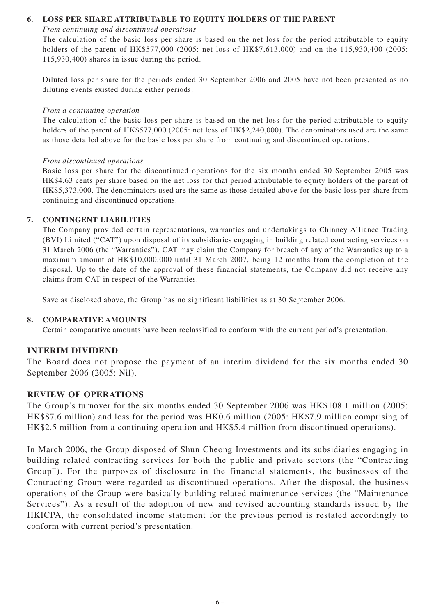#### **6. LOSS PER SHARE ATTRIBUTABLE TO EQUITY HOLDERS OF THE PARENT**

#### *From continuing and discontinued operations*

The calculation of the basic loss per share is based on the net loss for the period attributable to equity holders of the parent of HK\$577,000 (2005: net loss of HK\$7,613,000) and on the 115,930,400 (2005: 115,930,400) shares in issue during the period.

Diluted loss per share for the periods ended 30 September 2006 and 2005 have not been presented as no diluting events existed during either periods.

#### *From a continuing operation*

The calculation of the basic loss per share is based on the net loss for the period attributable to equity holders of the parent of HK\$577,000 (2005: net loss of HK\$2,240,000). The denominators used are the same as those detailed above for the basic loss per share from continuing and discontinued operations.

#### *From discontinued operations*

Basic loss per share for the discontinued operations for the six months ended 30 September 2005 was HK\$4.63 cents per share based on the net loss for that period attributable to equity holders of the parent of HK\$5,373,000. The denominators used are the same as those detailed above for the basic loss per share from continuing and discontinued operations.

#### **7. CONTINGENT LIABILITIES**

The Company provided certain representations, warranties and undertakings to Chinney Alliance Trading (BVI) Limited ("CAT") upon disposal of its subsidiaries engaging in building related contracting services on 31 March 2006 (the "Warranties"). CAT may claim the Company for breach of any of the Warranties up to a maximum amount of HK\$10,000,000 until 31 March 2007, being 12 months from the completion of the disposal. Up to the date of the approval of these financial statements, the Company did not receive any claims from CAT in respect of the Warranties.

Save as disclosed above, the Group has no significant liabilities as at 30 September 2006.

#### **8. COMPARATIVE AMOUNTS**

Certain comparative amounts have been reclassified to conform with the current period's presentation.

#### **INTERIM DIVIDEND**

The Board does not propose the payment of an interim dividend for the six months ended 30 September 2006 (2005: Nil).

#### **REVIEW OF OPERATIONS**

The Group's turnover for the six months ended 30 September 2006 was HK\$108.1 million (2005: HK\$87.6 million) and loss for the period was HK0.6 million (2005: HK\$7.9 million comprising of HK\$2.5 million from a continuing operation and HK\$5.4 million from discontinued operations).

In March 2006, the Group disposed of Shun Cheong Investments and its subsidiaries engaging in building related contracting services for both the public and private sectors (the "Contracting Group"). For the purposes of disclosure in the financial statements, the businesses of the Contracting Group were regarded as discontinued operations. After the disposal, the business operations of the Group were basically building related maintenance services (the "Maintenance Services"). As a result of the adoption of new and revised accounting standards issued by the HKICPA, the consolidated income statement for the previous period is restated accordingly to conform with current period's presentation.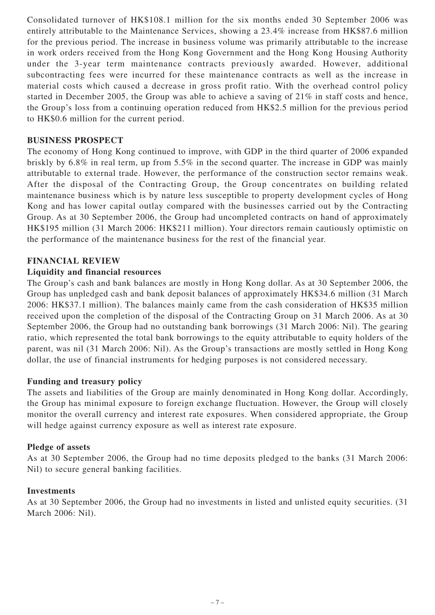Consolidated turnover of HK\$108.1 million for the six months ended 30 September 2006 was entirely attributable to the Maintenance Services, showing a 23.4% increase from HK\$87.6 million for the previous period. The increase in business volume was primarily attributable to the increase in work orders received from the Hong Kong Government and the Hong Kong Housing Authority under the 3-year term maintenance contracts previously awarded. However, additional subcontracting fees were incurred for these maintenance contracts as well as the increase in material costs which caused a decrease in gross profit ratio. With the overhead control policy started in December 2005, the Group was able to achieve a saving of 21% in staff costs and hence, the Group's loss from a continuing operation reduced from HK\$2.5 million for the previous period to HK\$0.6 million for the current period.

### **BUSINESS PROSPECT**

The economy of Hong Kong continued to improve, with GDP in the third quarter of 2006 expanded briskly by 6.8% in real term, up from 5.5% in the second quarter. The increase in GDP was mainly attributable to external trade. However, the performance of the construction sector remains weak. After the disposal of the Contracting Group, the Group concentrates on building related maintenance business which is by nature less susceptible to property development cycles of Hong Kong and has lower capital outlay compared with the businesses carried out by the Contracting Group. As at 30 September 2006, the Group had uncompleted contracts on hand of approximately HK\$195 million (31 March 2006: HK\$211 million). Your directors remain cautiously optimistic on the performance of the maintenance business for the rest of the financial year.

#### **FINANCIAL REVIEW**

#### **Liquidity and financial resources**

The Group's cash and bank balances are mostly in Hong Kong dollar. As at 30 September 2006, the Group has unpledged cash and bank deposit balances of approximately HK\$34.6 million (31 March 2006: HK\$37.1 million). The balances mainly came from the cash consideration of HK\$35 million received upon the completion of the disposal of the Contracting Group on 31 March 2006. As at 30 September 2006, the Group had no outstanding bank borrowings (31 March 2006: Nil). The gearing ratio, which represented the total bank borrowings to the equity attributable to equity holders of the parent, was nil (31 March 2006: Nil). As the Group's transactions are mostly settled in Hong Kong dollar, the use of financial instruments for hedging purposes is not considered necessary.

#### **Funding and treasury policy**

The assets and liabilities of the Group are mainly denominated in Hong Kong dollar. Accordingly, the Group has minimal exposure to foreign exchange fluctuation. However, the Group will closely monitor the overall currency and interest rate exposures. When considered appropriate, the Group will hedge against currency exposure as well as interest rate exposure.

#### **Pledge of assets**

As at 30 September 2006, the Group had no time deposits pledged to the banks (31 March 2006: Nil) to secure general banking facilities.

#### **Investments**

As at 30 September 2006, the Group had no investments in listed and unlisted equity securities. (31 March 2006: Nil).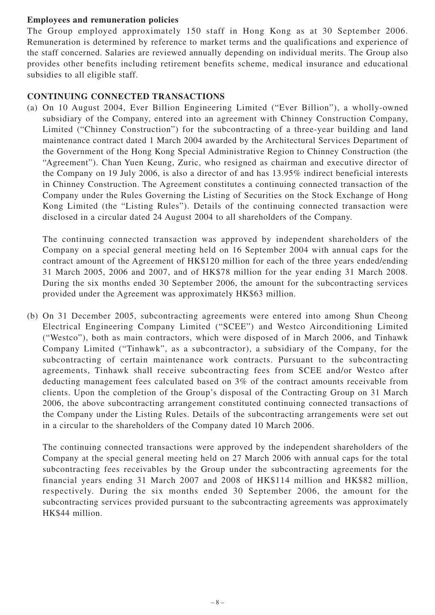## **Employees and remuneration policies**

The Group employed approximately 150 staff in Hong Kong as at 30 September 2006. Remuneration is determined by reference to market terms and the qualifications and experience of the staff concerned. Salaries are reviewed annually depending on individual merits. The Group also provides other benefits including retirement benefits scheme, medical insurance and educational subsidies to all eligible staff.

## **CONTINUING CONNECTED TRANSACTIONS**

(a) On 10 August 2004, Ever Billion Engineering Limited ("Ever Billion"), a wholly-owned subsidiary of the Company, entered into an agreement with Chinney Construction Company, Limited ("Chinney Construction") for the subcontracting of a three-year building and land maintenance contract dated 1 March 2004 awarded by the Architectural Services Department of the Government of the Hong Kong Special Administrative Region to Chinney Construction (the "Agreement"). Chan Yuen Keung, Zuric, who resigned as chairman and executive director of the Company on 19 July 2006, is also a director of and has 13.95% indirect beneficial interests in Chinney Construction. The Agreement constitutes a continuing connected transaction of the Company under the Rules Governing the Listing of Securities on the Stock Exchange of Hong Kong Limited (the "Listing Rules"). Details of the continuing connected transaction were disclosed in a circular dated 24 August 2004 to all shareholders of the Company.

The continuing connected transaction was approved by independent shareholders of the Company on a special general meeting held on 16 September 2004 with annual caps for the contract amount of the Agreement of HK\$120 million for each of the three years ended/ending 31 March 2005, 2006 and 2007, and of HK\$78 million for the year ending 31 March 2008. During the six months ended 30 September 2006, the amount for the subcontracting services provided under the Agreement was approximately HK\$63 million.

(b) On 31 December 2005, subcontracting agreements were entered into among Shun Cheong Electrical Engineering Company Limited ("SCEE") and Westco Airconditioning Limited ("Westco"), both as main contractors, which were disposed of in March 2006, and Tinhawk Company Limited ("Tinhawk", as a subcontractor), a subsidiary of the Company, for the subcontracting of certain maintenance work contracts. Pursuant to the subcontracting agreements, Tinhawk shall receive subcontracting fees from SCEE and/or Westco after deducting management fees calculated based on 3% of the contract amounts receivable from clients. Upon the completion of the Group's disposal of the Contracting Group on 31 March 2006, the above subcontracting arrangement constituted continuing connected transactions of the Company under the Listing Rules. Details of the subcontracting arrangements were set out in a circular to the shareholders of the Company dated 10 March 2006.

The continuing connected transactions were approved by the independent shareholders of the Company at the special general meeting held on 27 March 2006 with annual caps for the total subcontracting fees receivables by the Group under the subcontracting agreements for the financial years ending 31 March 2007 and 2008 of HK\$114 million and HK\$82 million, respectively. During the six months ended 30 September 2006, the amount for the subcontracting services provided pursuant to the subcontracting agreements was approximately HK\$44 million.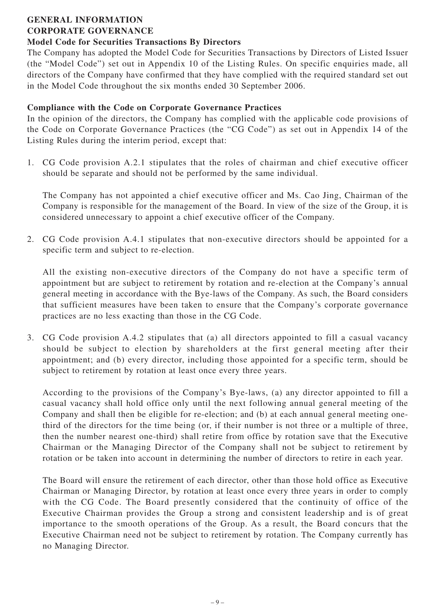#### **GENERAL INFORMATION CORPORATE GOVERNANCE**

## **Model Code for Securities Transactions By Directors**

The Company has adopted the Model Code for Securities Transactions by Directors of Listed Issuer (the "Model Code") set out in Appendix 10 of the Listing Rules. On specific enquiries made, all directors of the Company have confirmed that they have complied with the required standard set out in the Model Code throughout the six months ended 30 September 2006.

## **Compliance with the Code on Corporate Governance Practices**

In the opinion of the directors, the Company has complied with the applicable code provisions of the Code on Corporate Governance Practices (the "CG Code") as set out in Appendix 14 of the Listing Rules during the interim period, except that:

1. CG Code provision A.2.1 stipulates that the roles of chairman and chief executive officer should be separate and should not be performed by the same individual.

The Company has not appointed a chief executive officer and Ms. Cao Jing, Chairman of the Company is responsible for the management of the Board. In view of the size of the Group, it is considered unnecessary to appoint a chief executive officer of the Company.

2. CG Code provision A.4.1 stipulates that non-executive directors should be appointed for a specific term and subject to re-election.

All the existing non-executive directors of the Company do not have a specific term of appointment but are subject to retirement by rotation and re-election at the Company's annual general meeting in accordance with the Bye-laws of the Company. As such, the Board considers that sufficient measures have been taken to ensure that the Company's corporate governance practices are no less exacting than those in the CG Code.

3. CG Code provision A.4.2 stipulates that (a) all directors appointed to fill a casual vacancy should be subject to election by shareholders at the first general meeting after their appointment; and (b) every director, including those appointed for a specific term, should be subject to retirement by rotation at least once every three years.

According to the provisions of the Company's Bye-laws, (a) any director appointed to fill a casual vacancy shall hold office only until the next following annual general meeting of the Company and shall then be eligible for re-election; and (b) at each annual general meeting onethird of the directors for the time being (or, if their number is not three or a multiple of three, then the number nearest one-third) shall retire from office by rotation save that the Executive Chairman or the Managing Director of the Company shall not be subject to retirement by rotation or be taken into account in determining the number of directors to retire in each year.

The Board will ensure the retirement of each director, other than those hold office as Executive Chairman or Managing Director, by rotation at least once every three years in order to comply with the CG Code. The Board presently considered that the continuity of office of the Executive Chairman provides the Group a strong and consistent leadership and is of great importance to the smooth operations of the Group. As a result, the Board concurs that the Executive Chairman need not be subject to retirement by rotation. The Company currently has no Managing Director.